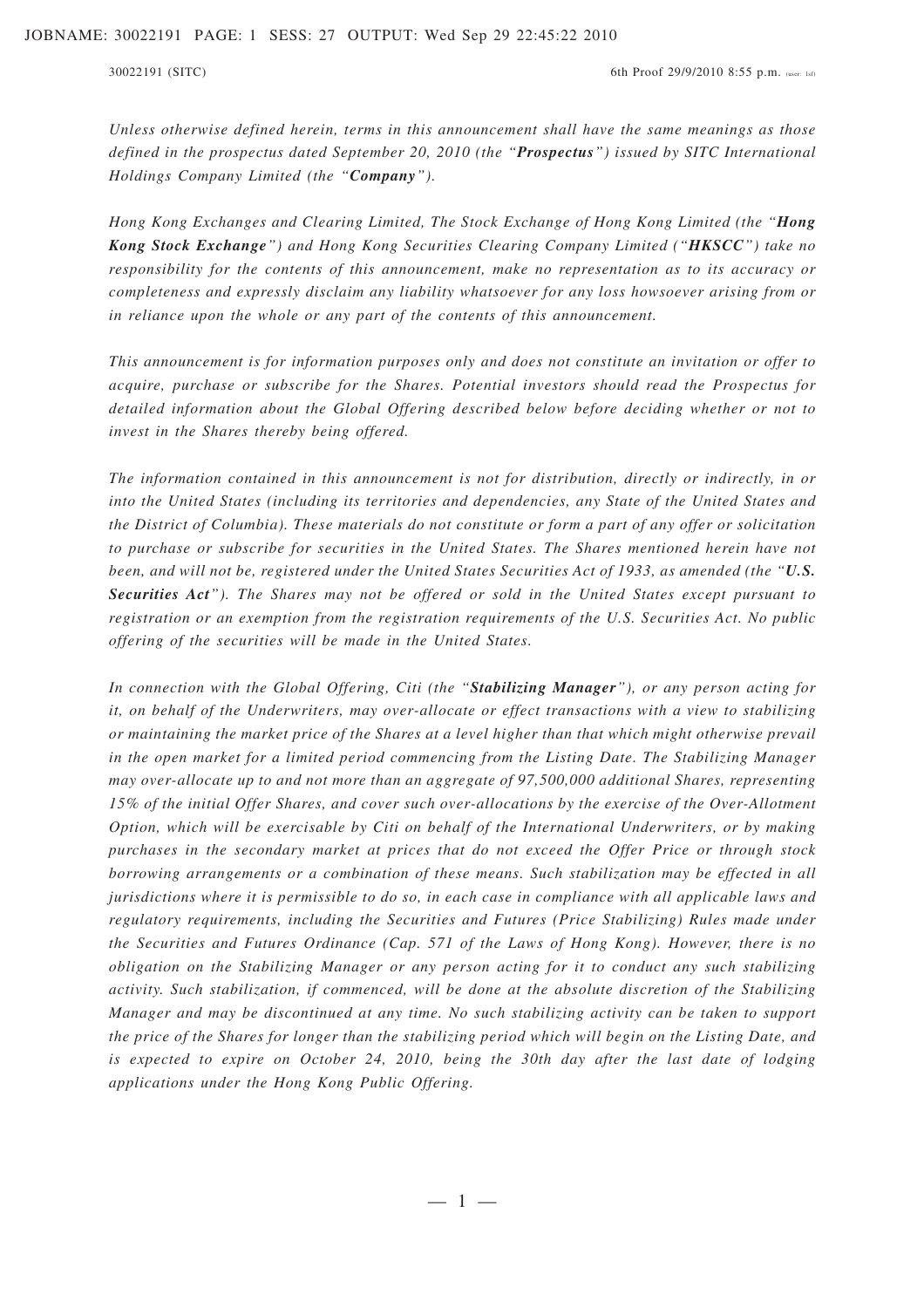*Unless otherwise defined herein, terms in this announcement shall have the same meanings as those defined in the prospectus dated September 20, 2010 (the "Prospectus") issued by SITC International Holdings Company Limited (the "Company").*

*Hong Kong Exchanges and Clearing Limited, The Stock Exchange of Hong Kong Limited (the "Hong Kong Stock Exchange") and Hong Kong Securities Clearing Company Limited ("HKSCC") take no responsibility for the contents of this announcement, make no representation as to its accuracy or completeness and expressly disclaim any liability whatsoever for any loss howsoever arising from or in reliance upon the whole or any part of the contents of this announcement.*

*This announcement is for information purposes only and does not constitute an invitation or offer to acquire, purchase or subscribe for the Shares. Potential investors should read the Prospectus for detailed information about the Global Offering described below before deciding whether or not to invest in the Shares thereby being offered.*

*The information contained in this announcement is not for distribution, directly or indirectly, in or into the United States (including its territories and dependencies, any State of the United States and the District of Columbia). These materials do not constitute or form a part of any offer or solicitation to purchase or subscribe for securities in the United States. The Shares mentioned herein have not been, and will not be, registered under the United States Securities Act of 1933, as amended (the "U.S. Securities Act"). The Shares may not be offered or sold in the United States except pursuant to registration or an exemption from the registration requirements of the U.S. Securities Act. No public offering of the securities will be made in the United States.*

*In connection with the Global Offering, Citi (the "Stabilizing Manager"), or any person acting for it, on behalf of the Underwriters, may over-allocate or effect transactions with a view to stabilizing or maintaining the market price of the Shares at a level higher than that which might otherwise prevail in the open market for a limited period commencing from the Listing Date. The Stabilizing Manager may over-allocate up to and not more than an aggregate of 97,500,000 additional Shares, representing 15% of the initial Offer Shares, and cover such over-allocations by the exercise of the Over-Allotment Option, which will be exercisable by Citi on behalf of the International Underwriters, or by making purchases in the secondary market at prices that do not exceed the Offer Price or through stock borrowing arrangements or a combination of these means. Such stabilization may be effected in all jurisdictions where it is permissible to do so, in each case in compliance with all applicable laws and regulatory requirements, including the Securities and Futures (Price Stabilizing) Rules made under the Securities and Futures Ordinance (Cap. 571 of the Laws of Hong Kong). However, there is no obligation on the Stabilizing Manager or any person acting for it to conduct any such stabilizing activity. Such stabilization, if commenced, will be done at the absolute discretion of the Stabilizing Manager and may be discontinued at any time. No such stabilizing activity can be taken to support the price of the Shares for longer than the stabilizing period which will begin on the Listing Date, and is expected to expire on October 24, 2010, being the 30th day after the last date of lodging applications under the Hong Kong Public Offering.*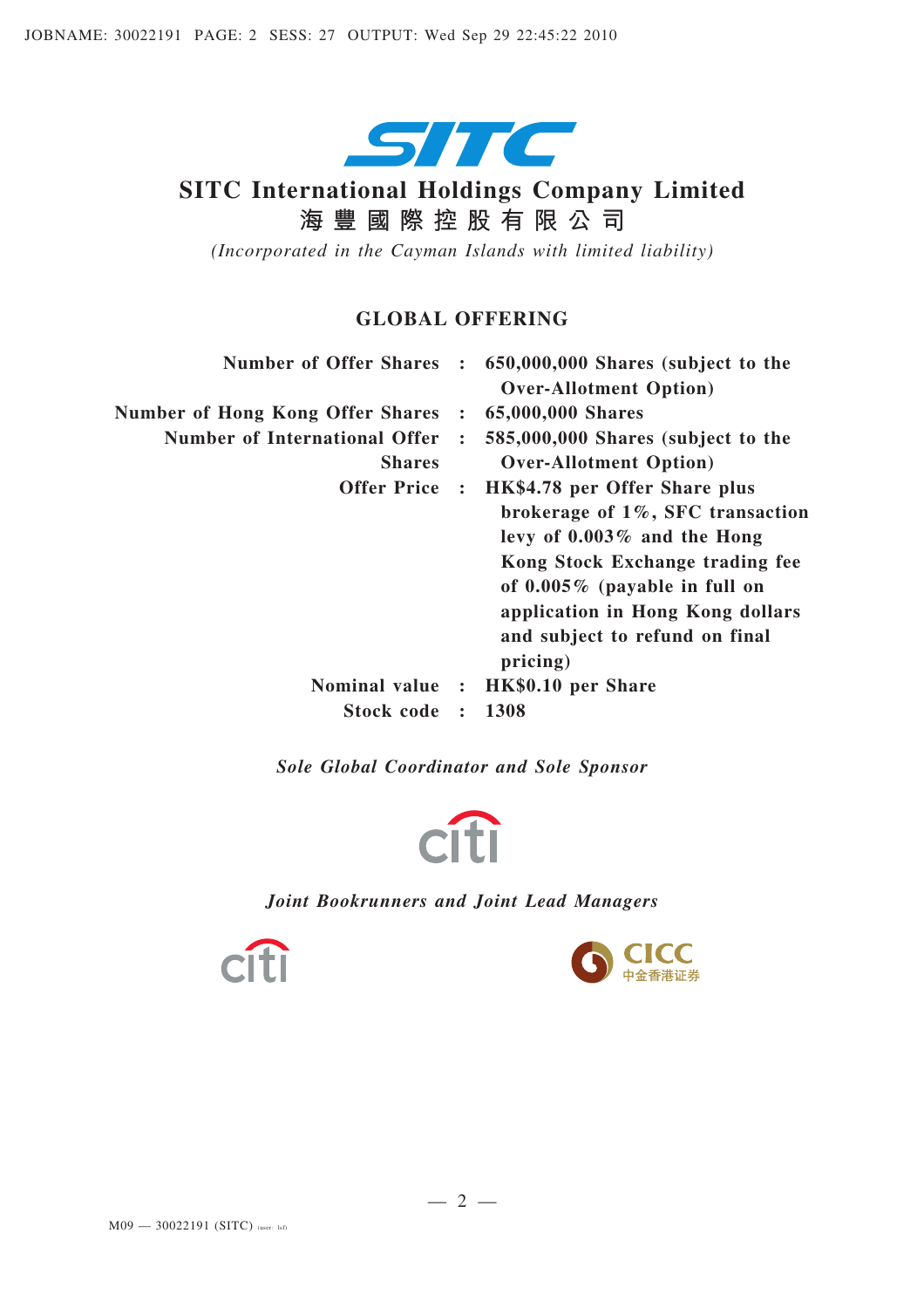

# **SITC International Holdings Company Limited 海豐國際控股有限公司**

*(Incorporated in the Cayman Islands with limited liability)*

### **GLOBAL OFFERING**

| <b>Number of Offer Shares</b> | : 650,000,000 Shares (subject to the<br><b>Over-Allotment Option</b> )                                                                                                                                                                                                     |
|-------------------------------|----------------------------------------------------------------------------------------------------------------------------------------------------------------------------------------------------------------------------------------------------------------------------|
| $\ddot{\cdot}$                | 65,000,000 Shares                                                                                                                                                                                                                                                          |
| $\ddot{\cdot}$                | 585,000,000 Shares (subject to the<br><b>Over-Allotment Option</b> )                                                                                                                                                                                                       |
|                               | Offer Price : HK\$4.78 per Offer Share plus<br>brokerage of 1%, SFC transaction<br>levy of $0.003\%$ and the Hong<br>Kong Stock Exchange trading fee<br>of $0.005\%$ (payable in full on<br>application in Hong Kong dollars<br>and subject to refund on final<br>pricing) |
| Nominal value :               | HK\$0.10 per Share                                                                                                                                                                                                                                                         |
| $\ddot{\cdot}$                | 1308                                                                                                                                                                                                                                                                       |
|                               |                                                                                                                                                                                                                                                                            |

*Sole Global Coordinator and Sole Sponsor*



*Joint Bookrunners and Joint Lead Managers*



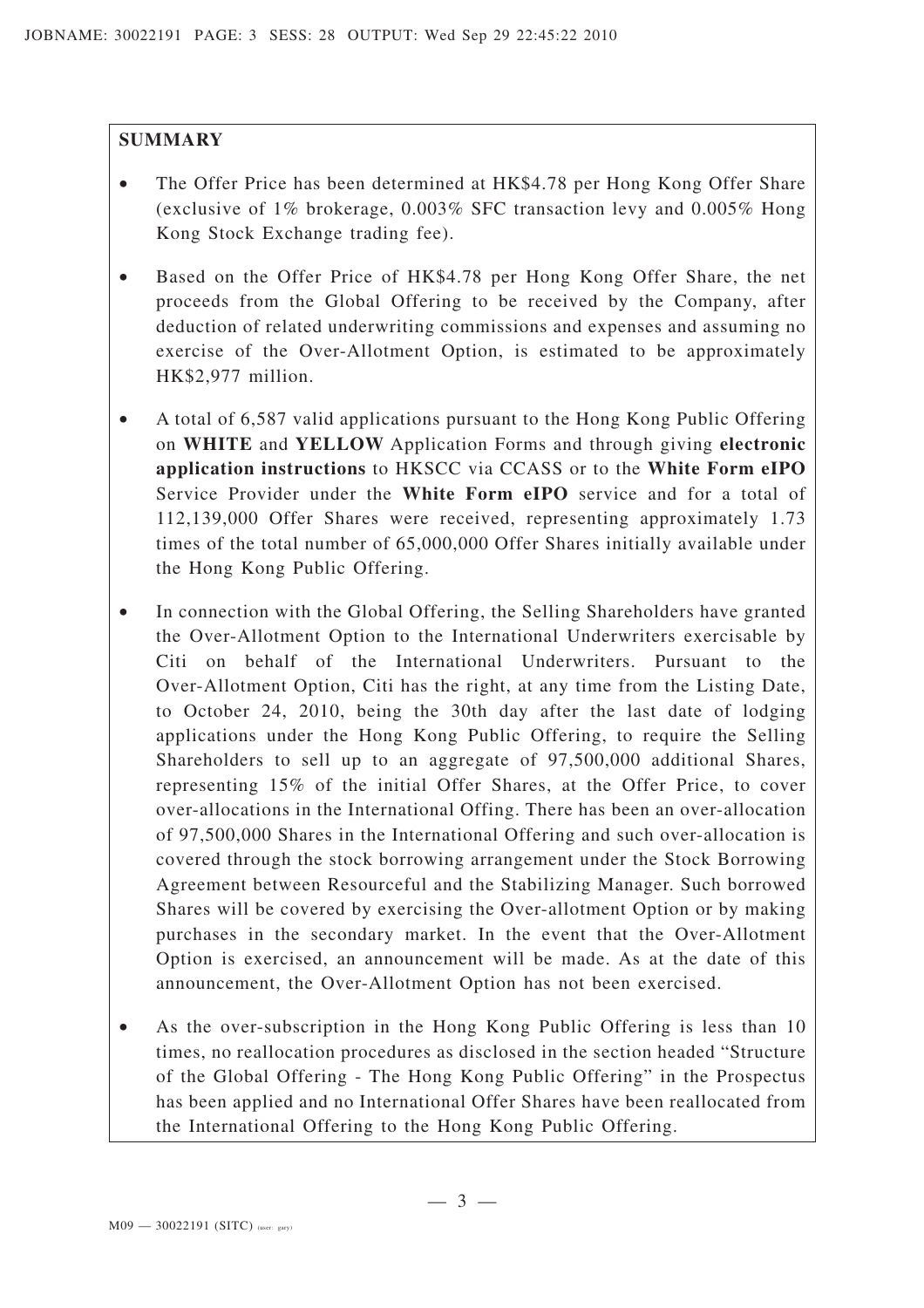### **SUMMARY**

- The Offer Price has been determined at HK\$4.78 per Hong Kong Offer Share (exclusive of 1% brokerage, 0.003% SFC transaction levy and 0.005% Hong Kong Stock Exchange trading fee).
- Based on the Offer Price of HK\$4.78 per Hong Kong Offer Share, the net proceeds from the Global Offering to be received by the Company, after deduction of related underwriting commissions and expenses and assuming no exercise of the Over-Allotment Option, is estimated to be approximately HK\$2,977 million.
- A total of 6,587 valid applications pursuant to the Hong Kong Public Offering on **WHITE** and **YELLOW** Application Forms and through giving **electronic application instructions** to HKSCC via CCASS or to the **White Form eIPO** Service Provider under the **White Form eIPO** service and for a total of 112,139,000 Offer Shares were received, representing approximately 1.73 times of the total number of 65,000,000 Offer Shares initially available under the Hong Kong Public Offering.
- In connection with the Global Offering, the Selling Shareholders have granted the Over-Allotment Option to the International Underwriters exercisable by Citi on behalf of the International Underwriters. Pursuant to the Over-Allotment Option, Citi has the right, at any time from the Listing Date, to October 24, 2010, being the 30th day after the last date of lodging applications under the Hong Kong Public Offering, to require the Selling Shareholders to sell up to an aggregate of 97,500,000 additional Shares, representing 15% of the initial Offer Shares, at the Offer Price, to cover over-allocations in the International Offing. There has been an over-allocation of 97,500,000 Shares in the International Offering and such over-allocation is covered through the stock borrowing arrangement under the Stock Borrowing Agreement between Resourceful and the Stabilizing Manager. Such borrowed Shares will be covered by exercising the Over-allotment Option or by making purchases in the secondary market. In the event that the Over-Allotment Option is exercised, an announcement will be made. As at the date of this announcement, the Over-Allotment Option has not been exercised.
- As the over-subscription in the Hong Kong Public Offering is less than 10 times, no reallocation procedures as disclosed in the section headed "Structure of the Global Offering - The Hong Kong Public Offering" in the Prospectus has been applied and no International Offer Shares have been reallocated from the International Offering to the Hong Kong Public Offering.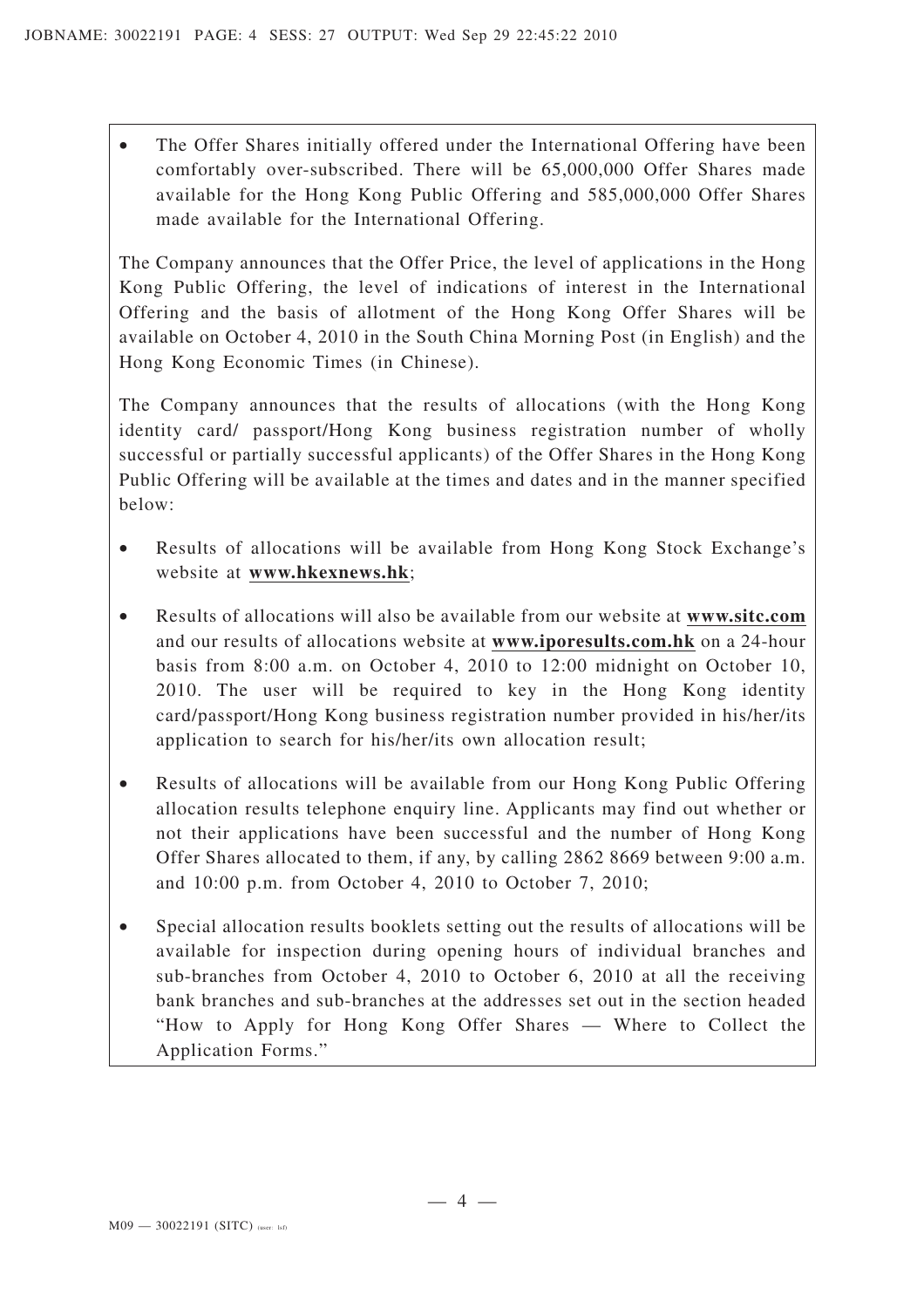The Offer Shares initially offered under the International Offering have been comfortably over-subscribed. There will be 65,000,000 Offer Shares made available for the Hong Kong Public Offering and 585,000,000 Offer Shares made available for the International Offering.

The Company announces that the Offer Price, the level of applications in the Hong Kong Public Offering, the level of indications of interest in the International Offering and the basis of allotment of the Hong Kong Offer Shares will be available on October 4, 2010 in the South China Morning Post (in English) and the Hong Kong Economic Times (in Chinese).

The Company announces that the results of allocations (with the Hong Kong identity card/ passport/Hong Kong business registration number of wholly successful or partially successful applicants) of the Offer Shares in the Hong Kong Public Offering will be available at the times and dates and in the manner specified below:

- Results of allocations will be available from Hong Kong Stock Exchange's website at **www.hkexnews.hk**;
- Results of allocations will also be available from our website at **www.sitc.com** and our results of allocations website at **www.iporesults.com.hk** on a 24-hour basis from 8:00 a.m. on October 4, 2010 to 12:00 midnight on October 10, 2010. The user will be required to key in the Hong Kong identity card/passport/Hong Kong business registration number provided in his/her/its application to search for his/her/its own allocation result;
- Results of allocations will be available from our Hong Kong Public Offering allocation results telephone enquiry line. Applicants may find out whether or not their applications have been successful and the number of Hong Kong Offer Shares allocated to them, if any, by calling 2862 8669 between 9:00 a.m. and 10:00 p.m. from October 4, 2010 to October 7, 2010;
- Special allocation results booklets setting out the results of allocations will be available for inspection during opening hours of individual branches and sub-branches from October 4, 2010 to October 6, 2010 at all the receiving bank branches and sub-branches at the addresses set out in the section headed "How to Apply for Hong Kong Offer Shares — Where to Collect the Application Forms."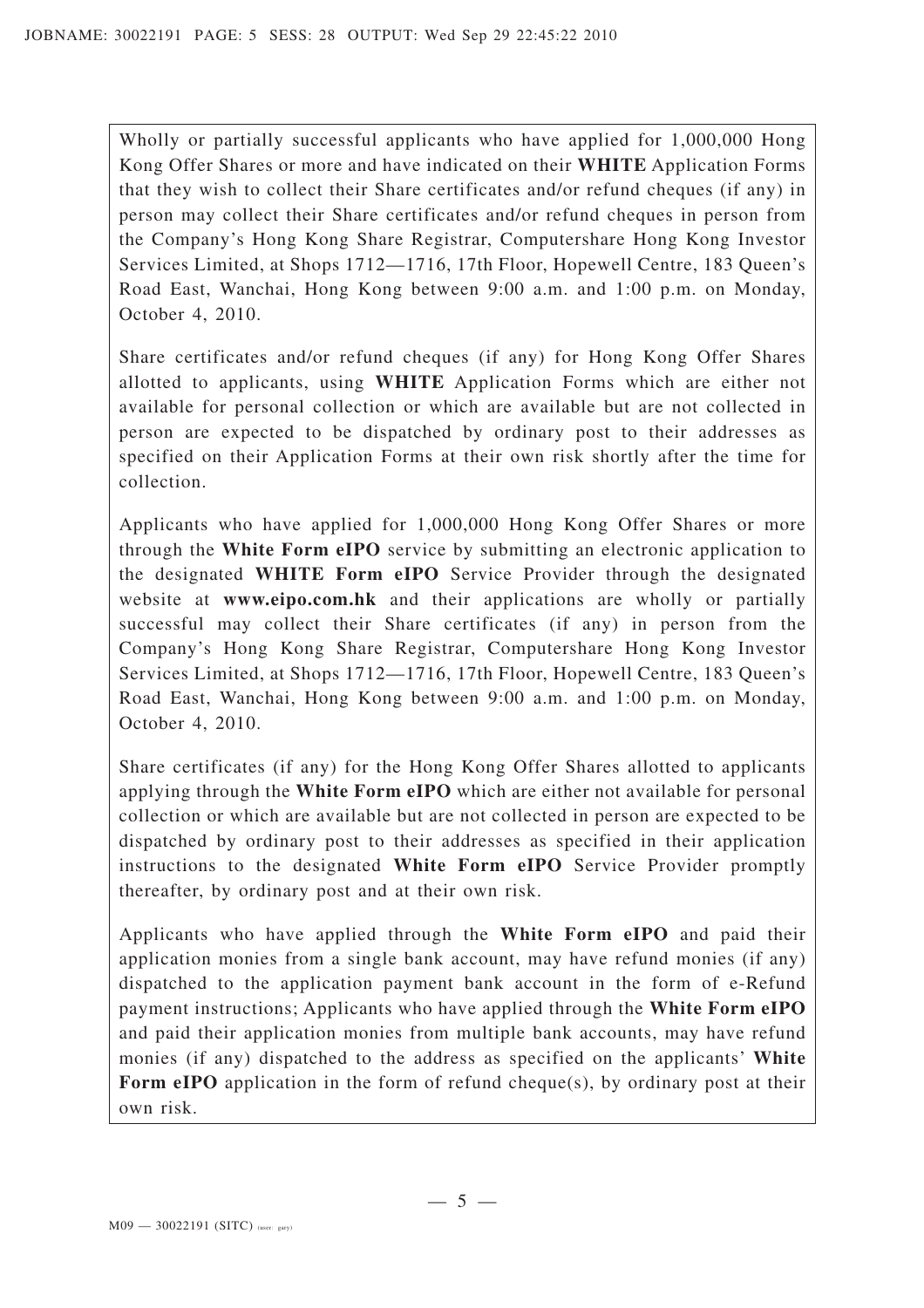Wholly or partially successful applicants who have applied for 1,000,000 Hong Kong Offer Shares or more and have indicated on their **WHITE** Application Forms that they wish to collect their Share certificates and/or refund cheques (if any) in person may collect their Share certificates and/or refund cheques in person from the Company's Hong Kong Share Registrar, Computershare Hong Kong Investor Services Limited, at Shops 1712—1716, 17th Floor, Hopewell Centre, 183 Queen's Road East, Wanchai, Hong Kong between 9:00 a.m. and 1:00 p.m. on Monday, October 4, 2010.

Share certificates and/or refund cheques (if any) for Hong Kong Offer Shares allotted to applicants, using **WHITE** Application Forms which are either not available for personal collection or which are available but are not collected in person are expected to be dispatched by ordinary post to their addresses as specified on their Application Forms at their own risk shortly after the time for collection.

Applicants who have applied for 1,000,000 Hong Kong Offer Shares or more through the **White Form eIPO** service by submitting an electronic application to the designated **WHITE Form eIPO** Service Provider through the designated website at **www.eipo.com.hk** and their applications are wholly or partially successful may collect their Share certificates (if any) in person from the Company's Hong Kong Share Registrar, Computershare Hong Kong Investor Services Limited, at Shops 1712—1716, 17th Floor, Hopewell Centre, 183 Queen's Road East, Wanchai, Hong Kong between 9:00 a.m. and 1:00 p.m. on Monday, October 4, 2010.

Share certificates (if any) for the Hong Kong Offer Shares allotted to applicants applying through the **White Form eIPO** which are either not available for personal collection or which are available but are not collected in person are expected to be dispatched by ordinary post to their addresses as specified in their application instructions to the designated **White Form eIPO** Service Provider promptly thereafter, by ordinary post and at their own risk.

Applicants who have applied through the **White Form eIPO** and paid their application monies from a single bank account, may have refund monies (if any) dispatched to the application payment bank account in the form of e-Refund payment instructions; Applicants who have applied through the **White Form eIPO** and paid their application monies from multiple bank accounts, may have refund monies (if any) dispatched to the address as specified on the applicants' **White Form eIPO** application in the form of refund cheque(s), by ordinary post at their own risk.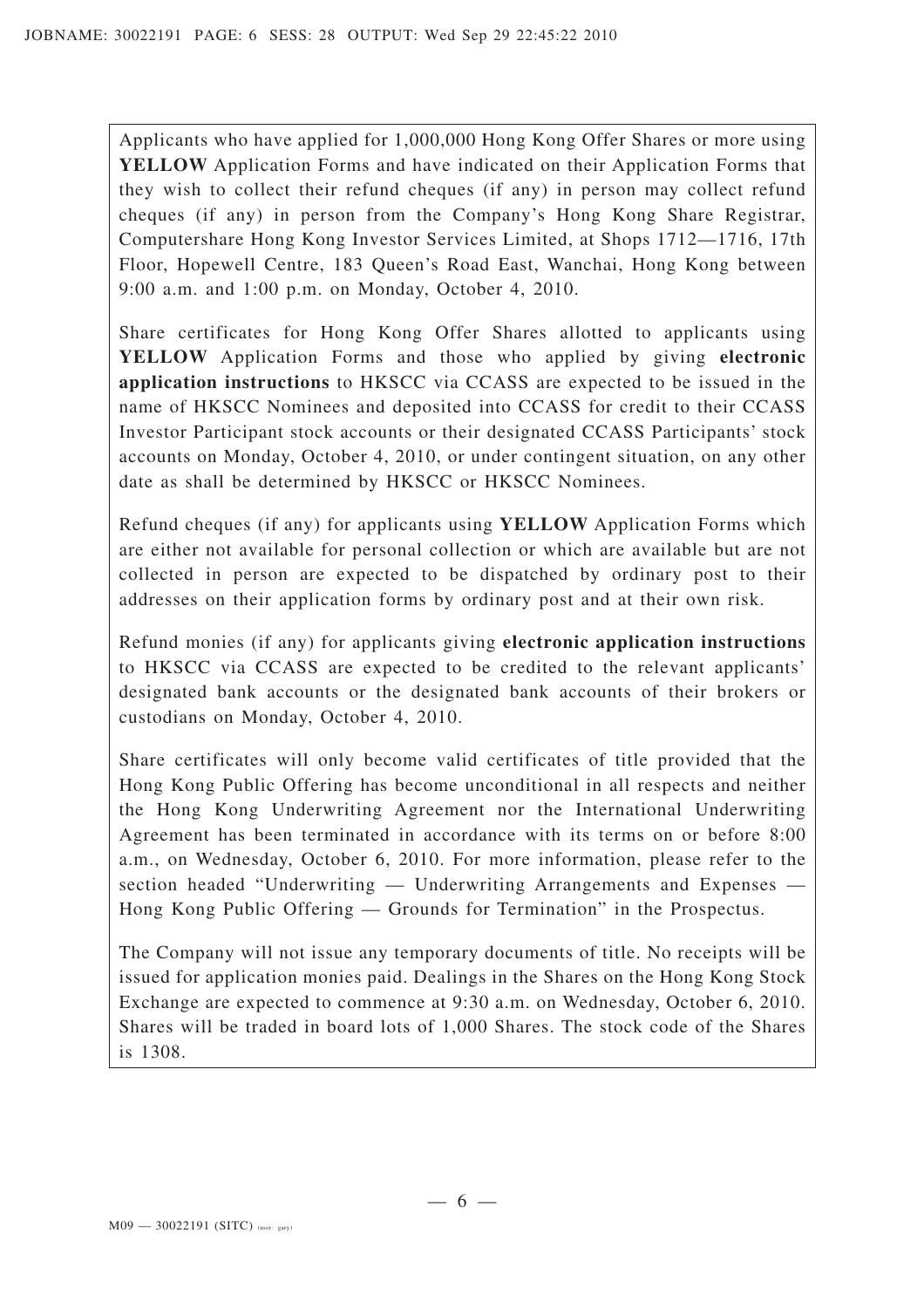Applicants who have applied for 1,000,000 Hong Kong Offer Shares or more using **YELLOW** Application Forms and have indicated on their Application Forms that they wish to collect their refund cheques (if any) in person may collect refund cheques (if any) in person from the Company's Hong Kong Share Registrar, Computershare Hong Kong Investor Services Limited, at Shops 1712—1716, 17th Floor, Hopewell Centre, 183 Queen's Road East, Wanchai, Hong Kong between 9:00 a.m. and 1:00 p.m. on Monday, October 4, 2010.

Share certificates for Hong Kong Offer Shares allotted to applicants using **YELLOW** Application Forms and those who applied by giving **electronic application instructions** to HKSCC via CCASS are expected to be issued in the name of HKSCC Nominees and deposited into CCASS for credit to their CCASS Investor Participant stock accounts or their designated CCASS Participants' stock accounts on Monday, October 4, 2010, or under contingent situation, on any other date as shall be determined by HKSCC or HKSCC Nominees.

Refund cheques (if any) for applicants using **YELLOW** Application Forms which are either not available for personal collection or which are available but are not collected in person are expected to be dispatched by ordinary post to their addresses on their application forms by ordinary post and at their own risk.

Refund monies (if any) for applicants giving **electronic application instructions** to HKSCC via CCASS are expected to be credited to the relevant applicants' designated bank accounts or the designated bank accounts of their brokers or custodians on Monday, October 4, 2010.

Share certificates will only become valid certificates of title provided that the Hong Kong Public Offering has become unconditional in all respects and neither the Hong Kong Underwriting Agreement nor the International Underwriting Agreement has been terminated in accordance with its terms on or before 8:00 a.m., on Wednesday, October 6, 2010. For more information, please refer to the section headed "Underwriting — Underwriting Arrangements and Expenses — Hong Kong Public Offering — Grounds for Termination" in the Prospectus.

The Company will not issue any temporary documents of title. No receipts will be issued for application monies paid. Dealings in the Shares on the Hong Kong Stock Exchange are expected to commence at 9:30 a.m. on Wednesday, October 6, 2010. Shares will be traded in board lots of 1,000 Shares. The stock code of the Shares is 1308.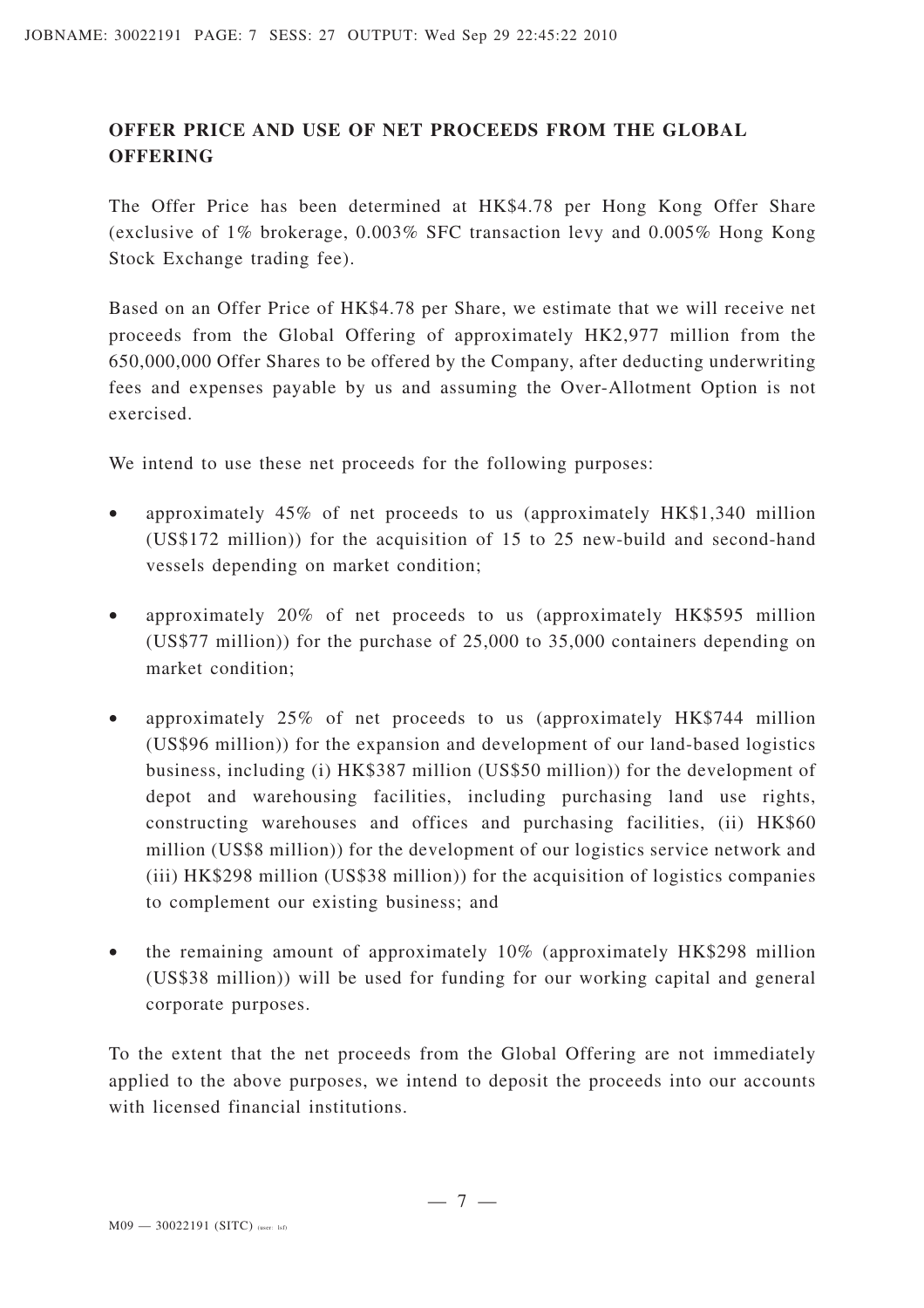# **OFFER PRICE AND USE OF NET PROCEEDS FROM THE GLOBAL OFFERING**

The Offer Price has been determined at HK\$4.78 per Hong Kong Offer Share (exclusive of 1% brokerage, 0.003% SFC transaction levy and 0.005% Hong Kong Stock Exchange trading fee).

Based on an Offer Price of HK\$4.78 per Share, we estimate that we will receive net proceeds from the Global Offering of approximately HK2,977 million from the 650,000,000 Offer Shares to be offered by the Company, after deducting underwriting fees and expenses payable by us and assuming the Over-Allotment Option is not exercised.

We intend to use these net proceeds for the following purposes:

- approximately 45% of net proceeds to us (approximately HK\$1,340 million (US\$172 million)) for the acquisition of 15 to 25 new-build and second-hand vessels depending on market condition;
- approximately 20% of net proceeds to us (approximately HK\$595 million (US\$77 million)) for the purchase of 25,000 to 35,000 containers depending on market condition;
- approximately 25% of net proceeds to us (approximately HK\$744 million (US\$96 million)) for the expansion and development of our land-based logistics business, including (i) HK\$387 million (US\$50 million)) for the development of depot and warehousing facilities, including purchasing land use rights, constructing warehouses and offices and purchasing facilities, (ii) HK\$60 million (US\$8 million)) for the development of our logistics service network and (iii) HK\$298 million (US\$38 million)) for the acquisition of logistics companies to complement our existing business; and
- the remaining amount of approximately 10% (approximately HK\$298 million (US\$38 million)) will be used for funding for our working capital and general corporate purposes.

To the extent that the net proceeds from the Global Offering are not immediately applied to the above purposes, we intend to deposit the proceeds into our accounts with licensed financial institutions.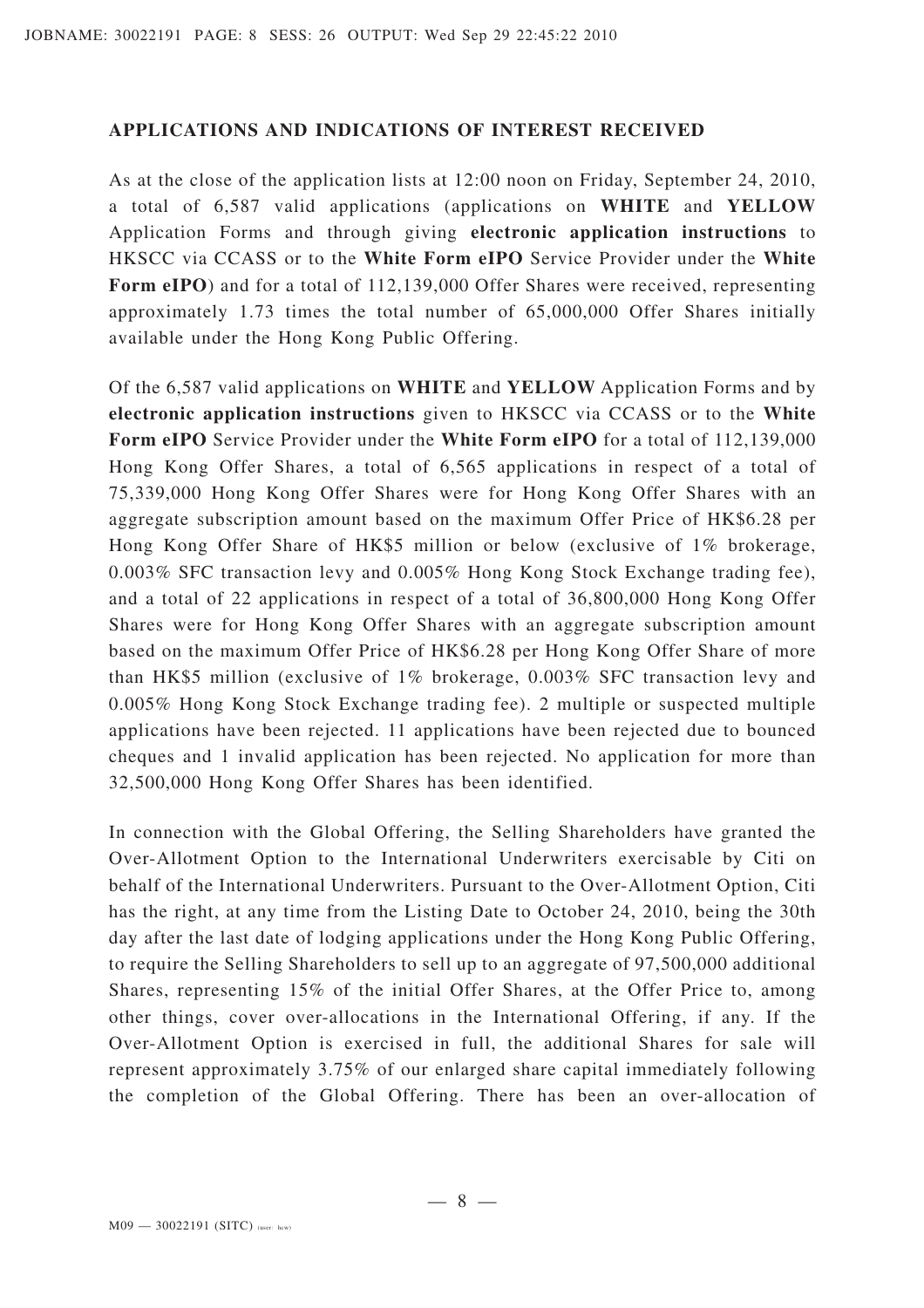#### **APPLICATIONS AND INDICATIONS OF INTEREST RECEIVED**

As at the close of the application lists at 12:00 noon on Friday, September 24, 2010, a total of 6,587 valid applications (applications on **WHITE** and **YELLOW** Application Forms and through giving **electronic application instructions** to HKSCC via CCASS or to the **White Form eIPO** Service Provider under the **White** Form eIPO) and for a total of 112,139,000 Offer Shares were received, representing approximately 1.73 times the total number of 65,000,000 Offer Shares initially available under the Hong Kong Public Offering.

Of the 6,587 valid applications on **WHITE** and **YELLOW** Application Forms and by **electronic application instructions** given to HKSCC via CCASS or to the **White Form eIPO** Service Provider under the **White Form eIPO** for a total of 112,139,000 Hong Kong Offer Shares, a total of 6,565 applications in respect of a total of 75,339,000 Hong Kong Offer Shares were for Hong Kong Offer Shares with an aggregate subscription amount based on the maximum Offer Price of HK\$6.28 per Hong Kong Offer Share of HK\$5 million or below (exclusive of 1% brokerage, 0.003% SFC transaction levy and 0.005% Hong Kong Stock Exchange trading fee), and a total of 22 applications in respect of a total of 36,800,000 Hong Kong Offer Shares were for Hong Kong Offer Shares with an aggregate subscription amount based on the maximum Offer Price of HK\$6.28 per Hong Kong Offer Share of more than HK\$5 million (exclusive of 1% brokerage, 0.003% SFC transaction levy and 0.005% Hong Kong Stock Exchange trading fee). 2 multiple or suspected multiple applications have been rejected. 11 applications have been rejected due to bounced cheques and 1 invalid application has been rejected. No application for more than 32,500,000 Hong Kong Offer Shares has been identified.

In connection with the Global Offering, the Selling Shareholders have granted the Over-Allotment Option to the International Underwriters exercisable by Citi on behalf of the International Underwriters. Pursuant to the Over-Allotment Option, Citi has the right, at any time from the Listing Date to October 24, 2010, being the 30th day after the last date of lodging applications under the Hong Kong Public Offering, to require the Selling Shareholders to sell up to an aggregate of 97,500,000 additional Shares, representing 15% of the initial Offer Shares, at the Offer Price to, among other things, cover over-allocations in the International Offering, if any. If the Over-Allotment Option is exercised in full, the additional Shares for sale will represent approximately 3.75% of our enlarged share capital immediately following the completion of the Global Offering. There has been an over-allocation of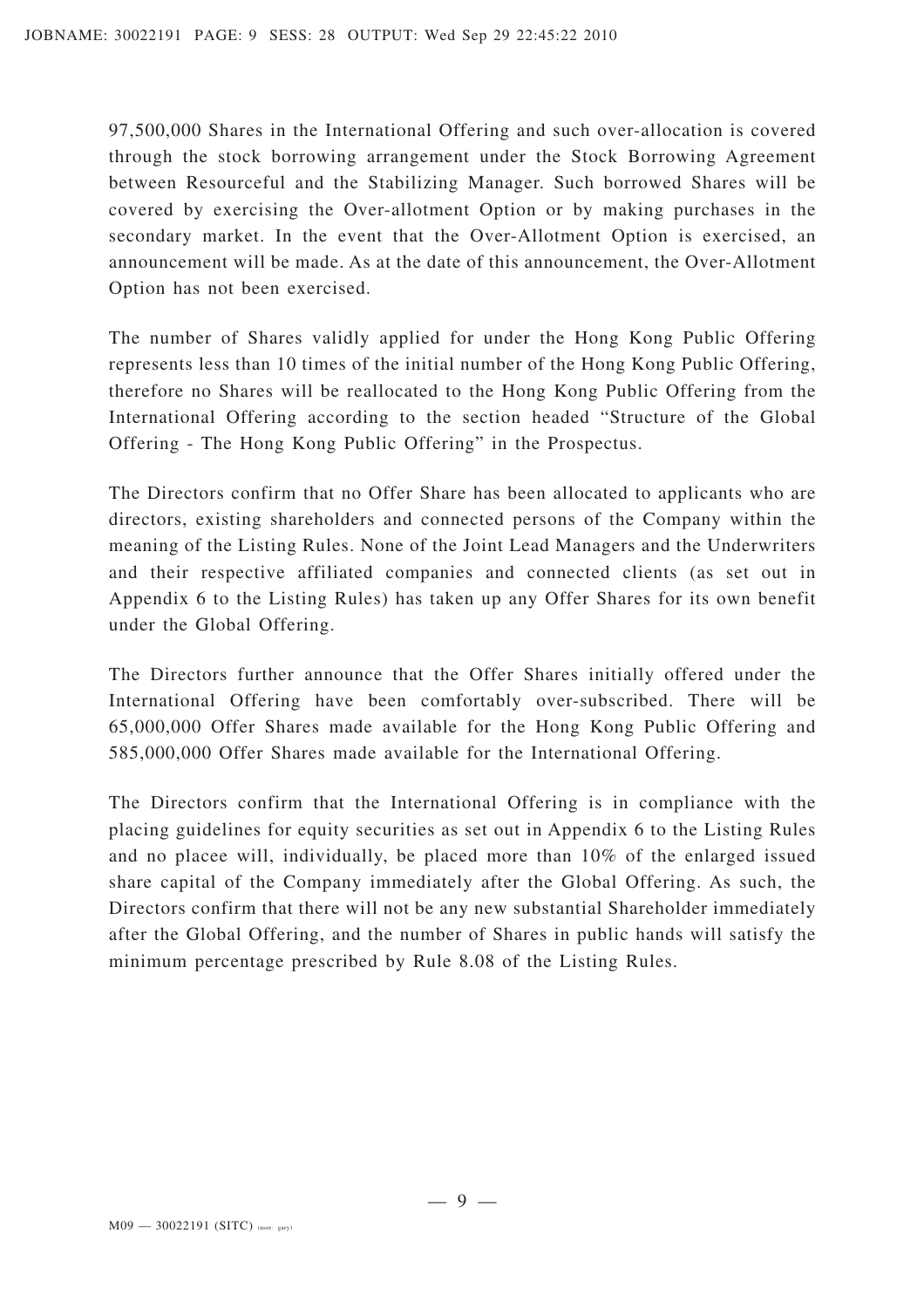97,500,000 Shares in the International Offering and such over-allocation is covered through the stock borrowing arrangement under the Stock Borrowing Agreement between Resourceful and the Stabilizing Manager. Such borrowed Shares will be covered by exercising the Over-allotment Option or by making purchases in the secondary market. In the event that the Over-Allotment Option is exercised, an announcement will be made. As at the date of this announcement, the Over-Allotment Option has not been exercised.

The number of Shares validly applied for under the Hong Kong Public Offering represents less than 10 times of the initial number of the Hong Kong Public Offering, therefore no Shares will be reallocated to the Hong Kong Public Offering from the International Offering according to the section headed "Structure of the Global Offering - The Hong Kong Public Offering" in the Prospectus.

The Directors confirm that no Offer Share has been allocated to applicants who are directors, existing shareholders and connected persons of the Company within the meaning of the Listing Rules. None of the Joint Lead Managers and the Underwriters and their respective affiliated companies and connected clients (as set out in Appendix 6 to the Listing Rules) has taken up any Offer Shares for its own benefit under the Global Offering.

The Directors further announce that the Offer Shares initially offered under the International Offering have been comfortably over-subscribed. There will be 65,000,000 Offer Shares made available for the Hong Kong Public Offering and 585,000,000 Offer Shares made available for the International Offering.

The Directors confirm that the International Offering is in compliance with the placing guidelines for equity securities as set out in Appendix 6 to the Listing Rules and no placee will, individually, be placed more than 10% of the enlarged issued share capital of the Company immediately after the Global Offering. As such, the Directors confirm that there will not be any new substantial Shareholder immediately after the Global Offering, and the number of Shares in public hands will satisfy the minimum percentage prescribed by Rule 8.08 of the Listing Rules.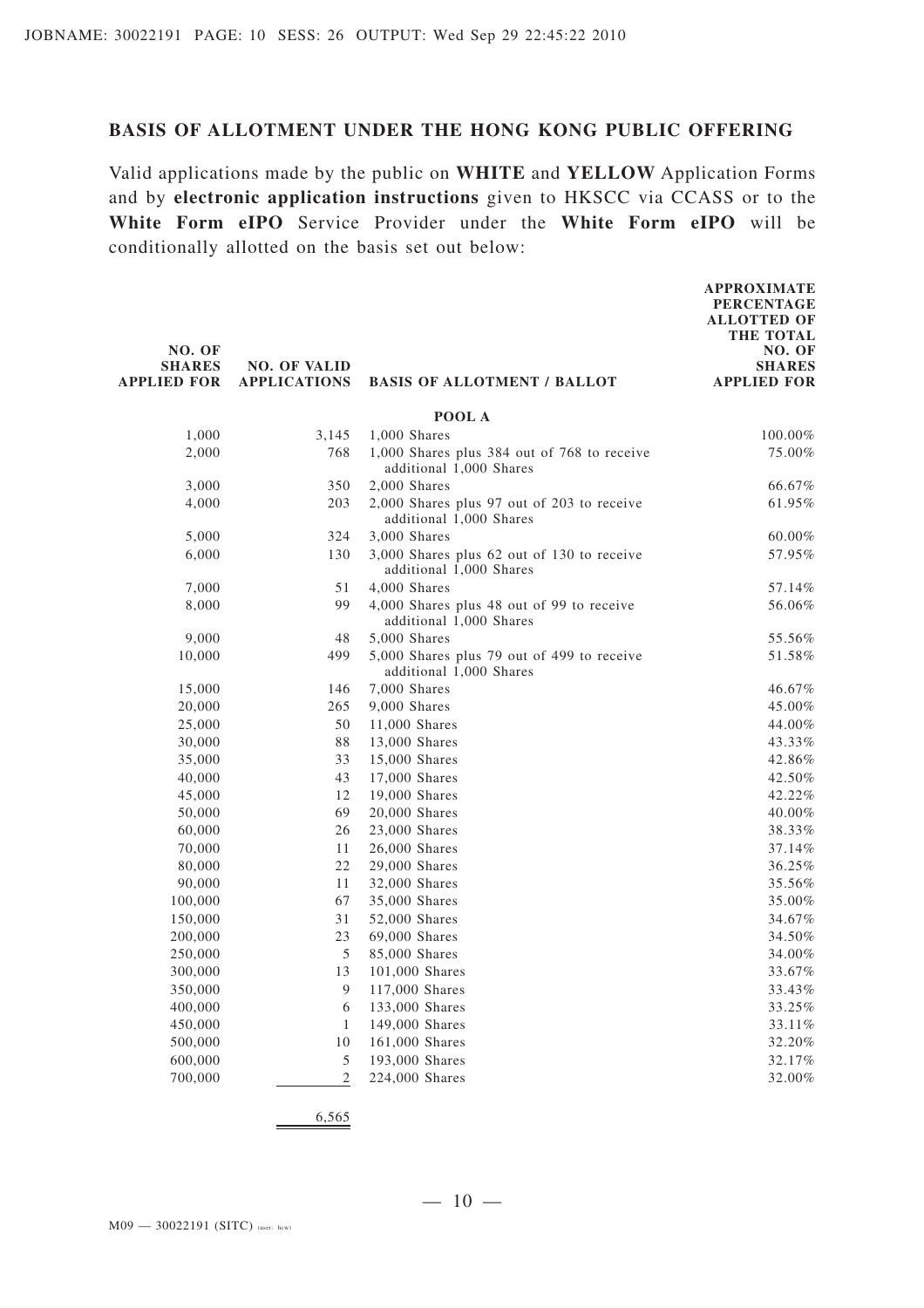#### **BASIS OF ALLOTMENT UNDER THE HONG KONG PUBLIC OFFERING**

Valid applications made by the public on **WHITE** and **YELLOW** Application Forms and by **electronic application instructions** given to HKSCC via CCASS or to the **White Form eIPO** Service Provider under the **White Form eIPO** will be conditionally allotted on the basis set out below:

| NO. OF<br><b>SHARES</b><br><b>APPLIED FOR</b> | <b>NO. OF VALID</b><br><b>APPLICATIONS</b> | <b>BASIS OF ALLOTMENT / BALLOT</b>                                     | <b>APPROXIMATE</b><br><b>PERCENTAGE</b><br><b>ALLOTTED OF</b><br><b>THE TOTAL</b><br>NO. OF<br><b>SHARES</b><br><b>APPLIED FOR</b> |
|-----------------------------------------------|--------------------------------------------|------------------------------------------------------------------------|------------------------------------------------------------------------------------------------------------------------------------|
|                                               |                                            | POOL A                                                                 |                                                                                                                                    |
| 1,000                                         | 3,145                                      | 1,000 Shares                                                           | 100.00%                                                                                                                            |
| 2,000                                         | 768                                        | 1,000 Shares plus 384 out of 768 to receive<br>additional 1,000 Shares | 75.00%                                                                                                                             |
| 3,000                                         | 350                                        | 2,000 Shares                                                           | 66.67%                                                                                                                             |
| 4,000                                         | 203                                        | 2,000 Shares plus 97 out of 203 to receive<br>additional 1,000 Shares  | 61.95%                                                                                                                             |
| 5,000                                         | 324                                        | 3,000 Shares                                                           | 60.00%                                                                                                                             |
| 6,000                                         | 130                                        | 3,000 Shares plus 62 out of 130 to receive<br>additional 1,000 Shares  | 57.95%                                                                                                                             |
| 7,000                                         | 51                                         | 4,000 Shares                                                           | 57.14%                                                                                                                             |
| 8,000                                         | 99                                         | 4,000 Shares plus 48 out of 99 to receive<br>additional 1,000 Shares   | 56.06%                                                                                                                             |
| 9,000                                         | 48                                         | 5,000 Shares                                                           | 55.56%                                                                                                                             |
| 10,000                                        | 499                                        | 5,000 Shares plus 79 out of 499 to receive<br>additional 1,000 Shares  | 51.58%                                                                                                                             |
| 15,000                                        | 146                                        | 7,000 Shares                                                           | 46.67%                                                                                                                             |
| 20,000                                        | 265                                        | 9,000 Shares                                                           | 45.00%                                                                                                                             |
| 25,000                                        | 50                                         | 11,000 Shares                                                          | 44.00%                                                                                                                             |
| 30,000                                        | 88                                         | 13,000 Shares                                                          | 43.33%                                                                                                                             |
| 35,000                                        | 33                                         | 15,000 Shares                                                          | 42.86%                                                                                                                             |
| 40,000                                        | 43                                         | 17,000 Shares                                                          | 42.50%                                                                                                                             |
| 45,000                                        | 12                                         | 19,000 Shares                                                          | 42.22%                                                                                                                             |
| 50,000                                        | 69                                         | 20,000 Shares                                                          | 40.00%                                                                                                                             |
| 60,000                                        | 26                                         | 23,000 Shares                                                          | 38.33%                                                                                                                             |
| 70,000<br>80,000                              | 11<br>22                                   | 26,000 Shares<br>29,000 Shares                                         | 37.14%<br>36.25%                                                                                                                   |
| 90,000                                        | 11                                         | 32,000 Shares                                                          | 35.56%                                                                                                                             |
| 100,000                                       | 67                                         | 35,000 Shares                                                          | 35.00%                                                                                                                             |
| 150,000                                       | 31                                         | 52,000 Shares                                                          | 34.67%                                                                                                                             |
| 200,000                                       | 23                                         | 69,000 Shares                                                          | 34.50%                                                                                                                             |
| 250,000                                       | 5                                          | 85,000 Shares                                                          | 34.00%                                                                                                                             |
| 300,000                                       | 13                                         | 101,000 Shares                                                         | $33.67\%$                                                                                                                          |
| 350,000                                       | 9                                          | 117,000 Shares                                                         | 33.43%                                                                                                                             |
| 400,000                                       | 6                                          | 133,000 Shares                                                         | 33.25%                                                                                                                             |
| 450,000                                       | 1                                          | 149,000 Shares                                                         | 33.11%                                                                                                                             |
| 500,000                                       | 10                                         | 161,000 Shares                                                         | 32.20%                                                                                                                             |
| 600,000                                       | 5                                          | 193,000 Shares                                                         | 32.17%                                                                                                                             |
| 700,000                                       | $\sqrt{2}$                                 | 224,000 Shares                                                         | 32.00%                                                                                                                             |
|                                               |                                            |                                                                        |                                                                                                                                    |

6,565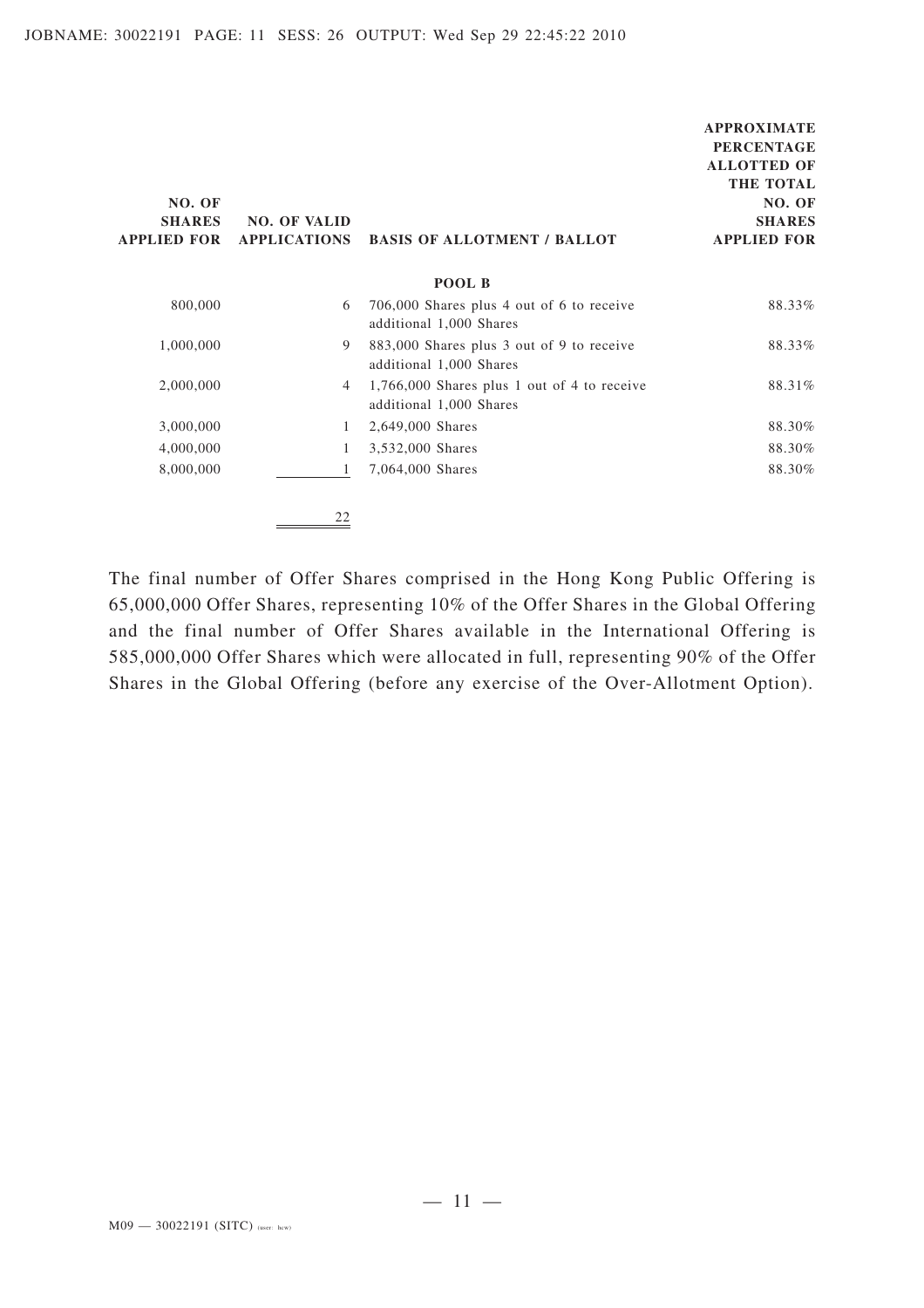**APPROXIMATE**

The final number of Offer Shares comprised in the Hong Kong Public Offering is 65,000,000 Offer Shares, representing 10% of the Offer Shares in the Global Offering and the final number of Offer Shares available in the International Offering is 585,000,000 Offer Shares which were allocated in full, representing 90% of the Offer Shares in the Global Offering (before any exercise of the Over-Allotment Option).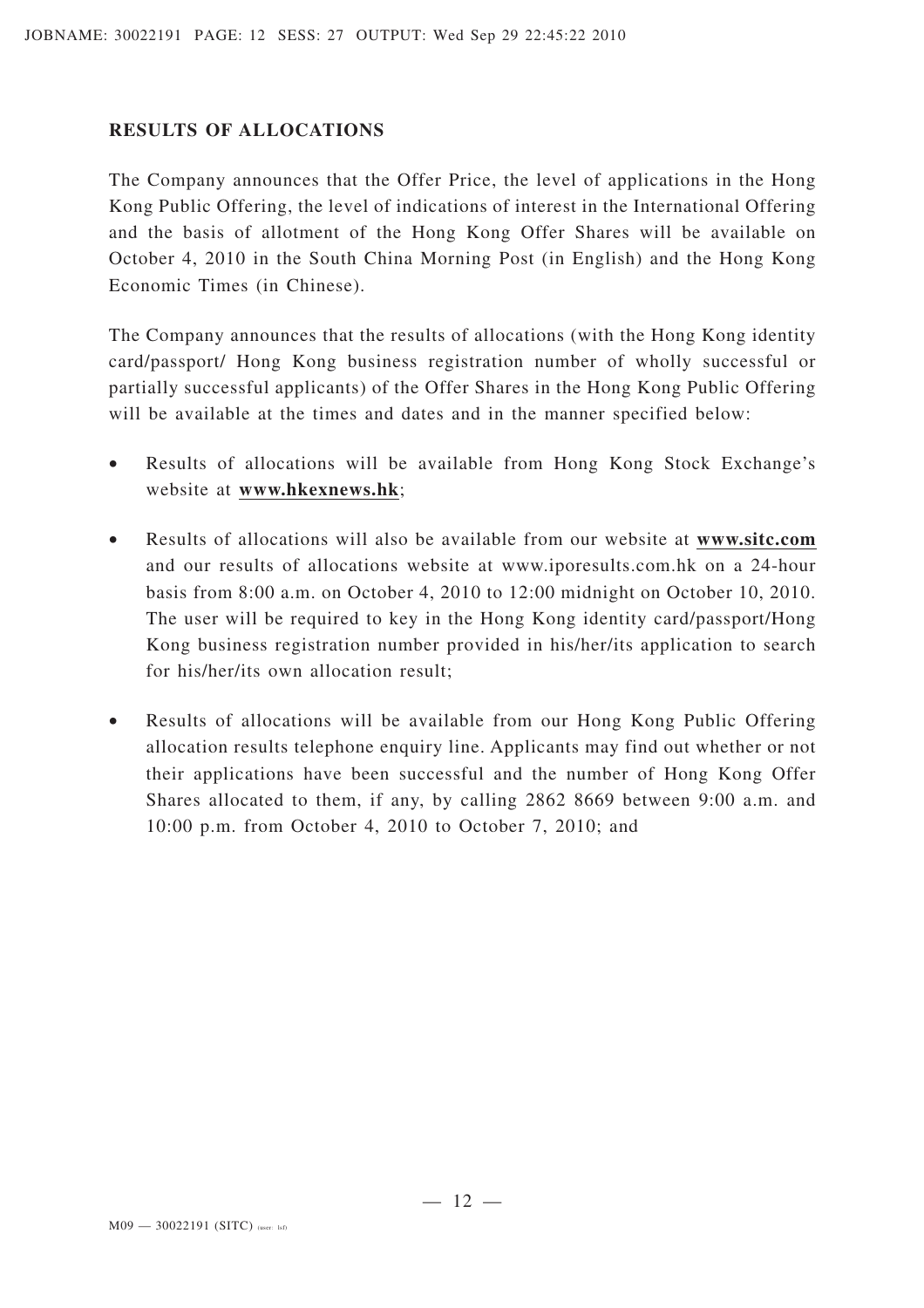#### **RESULTS OF ALLOCATIONS**

The Company announces that the Offer Price, the level of applications in the Hong Kong Public Offering, the level of indications of interest in the International Offering and the basis of allotment of the Hong Kong Offer Shares will be available on October 4, 2010 in the South China Morning Post (in English) and the Hong Kong Economic Times (in Chinese).

The Company announces that the results of allocations (with the Hong Kong identity card/passport/ Hong Kong business registration number of wholly successful or partially successful applicants) of the Offer Shares in the Hong Kong Public Offering will be available at the times and dates and in the manner specified below:

- Results of allocations will be available from Hong Kong Stock Exchange's website at **www.hkexnews.hk**;
- Results of allocations will also be available from our website at **www.sitc.com** and our results of allocations website at www.iporesults.com.hk on a 24-hour basis from 8:00 a.m. on October 4, 2010 to 12:00 midnight on October 10, 2010. The user will be required to key in the Hong Kong identity card/passport/Hong Kong business registration number provided in his/her/its application to search for his/her/its own allocation result;
- Results of allocations will be available from our Hong Kong Public Offering allocation results telephone enquiry line. Applicants may find out whether or not their applications have been successful and the number of Hong Kong Offer Shares allocated to them, if any, by calling 2862 8669 between 9:00 a.m. and 10:00 p.m. from October 4, 2010 to October 7, 2010; and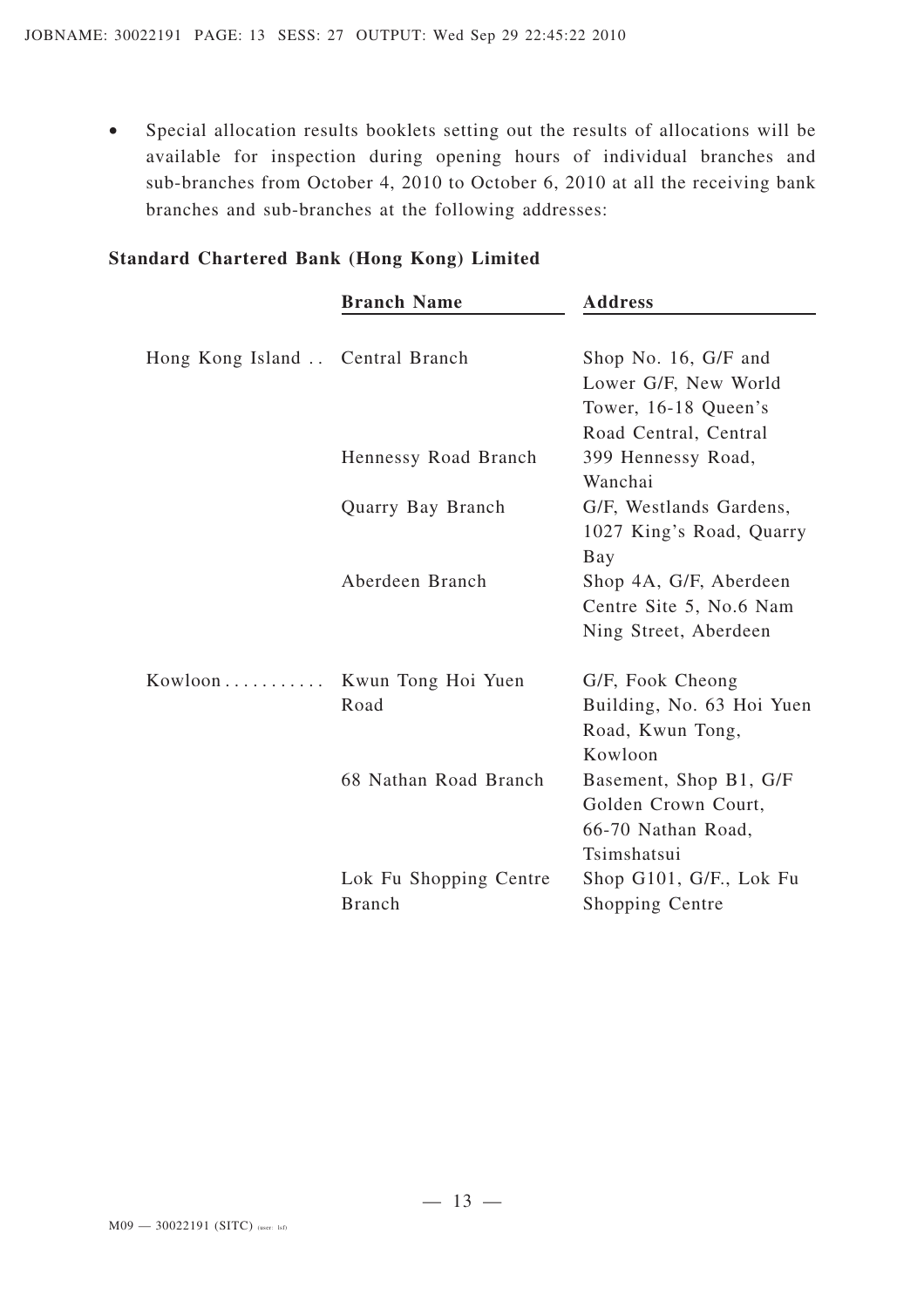• Special allocation results booklets setting out the results of allocations will be available for inspection during opening hours of individual branches and sub-branches from October 4, 2010 to October 6, 2010 at all the receiving bank branches and sub-branches at the following addresses:

|                                  | <b>Branch Name</b>     | <b>Address</b>            |
|----------------------------------|------------------------|---------------------------|
|                                  |                        |                           |
| Hong Kong Island  Central Branch |                        | Shop No. 16, G/F and      |
|                                  |                        | Lower G/F, New World      |
|                                  |                        | Tower, 16-18 Queen's      |
|                                  |                        | Road Central, Central     |
|                                  | Hennessy Road Branch   | 399 Hennessy Road,        |
|                                  |                        | Wanchai                   |
|                                  | Quarry Bay Branch      | G/F, Westlands Gardens,   |
|                                  |                        | 1027 King's Road, Quarry  |
|                                  |                        | Bay                       |
|                                  | Aberdeen Branch        | Shop 4A, G/F, Aberdeen    |
|                                  |                        | Centre Site 5, No.6 Nam   |
|                                  |                        | Ning Street, Aberdeen     |
| $Kowloon \ldots \ldots \ldots$   | Kwun Tong Hoi Yuen     | G/F, Fook Cheong          |
|                                  | Road                   | Building, No. 63 Hoi Yuen |
|                                  |                        | Road, Kwun Tong,          |
|                                  |                        | Kowloon                   |
|                                  | 68 Nathan Road Branch  | Basement, Shop B1, G/F    |
|                                  |                        | Golden Crown Court,       |
|                                  |                        | 66-70 Nathan Road,        |
|                                  |                        | Tsimshatsui               |
|                                  | Lok Fu Shopping Centre | Shop G101, G/F., Lok Fu   |
|                                  | <b>Branch</b>          | Shopping Centre           |

#### **Standard Chartered Bank (Hong Kong) Limited**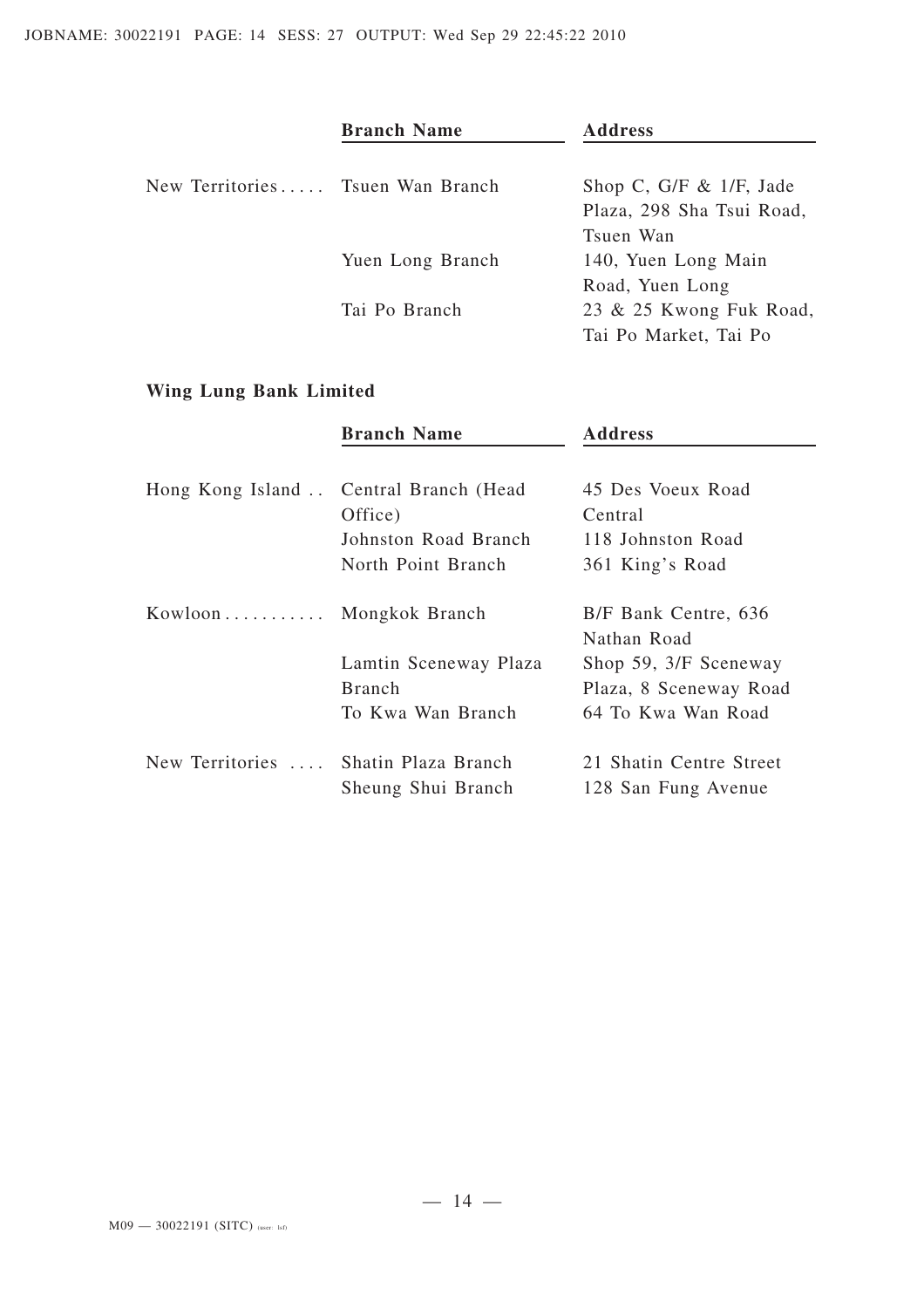|                                  | <b>Branch Name</b> | <b>Address</b>             |
|----------------------------------|--------------------|----------------------------|
| New Territories Tsuen Wan Branch |                    | Shop C, G/F $\&$ 1/F, Jade |
|                                  |                    | Plaza, 298 Sha Tsui Road,  |
|                                  |                    | Tsuen Wan                  |
|                                  | Yuen Long Branch   | 140, Yuen Long Main        |
|                                  |                    | Road, Yuen Long            |
|                                  | Tai Po Branch      | 23 & 25 Kwong Fuk Road,    |
|                                  |                    | Tai Po Market, Tai Po      |

# **Wing Lung Bank Limited**

|                                | <b>Branch Name</b>                        | <b>Address</b>                                 |
|--------------------------------|-------------------------------------------|------------------------------------------------|
| Hong Kong Island               | Central Branch (Head<br>Office)           | 45 Des Voeux Road<br>Central                   |
|                                | Johnston Road Branch                      | 118 Johnston Road                              |
|                                | North Point Branch                        | 361 King's Road                                |
| $Kowloon \ldots \ldots \ldots$ | Mongkok Branch                            | B/F Bank Centre, 636<br>Nathan Road            |
|                                | Lamtin Sceneway Plaza                     | Shop 59, 3/F Sceneway                          |
|                                | <b>Branch</b>                             | Plaza, 8 Sceneway Road                         |
|                                | To Kwa Wan Branch                         | 64 To Kwa Wan Road                             |
| New Territories                | Shatin Plaza Branch<br>Sheung Shui Branch | 21 Shatin Centre Street<br>128 San Fung Avenue |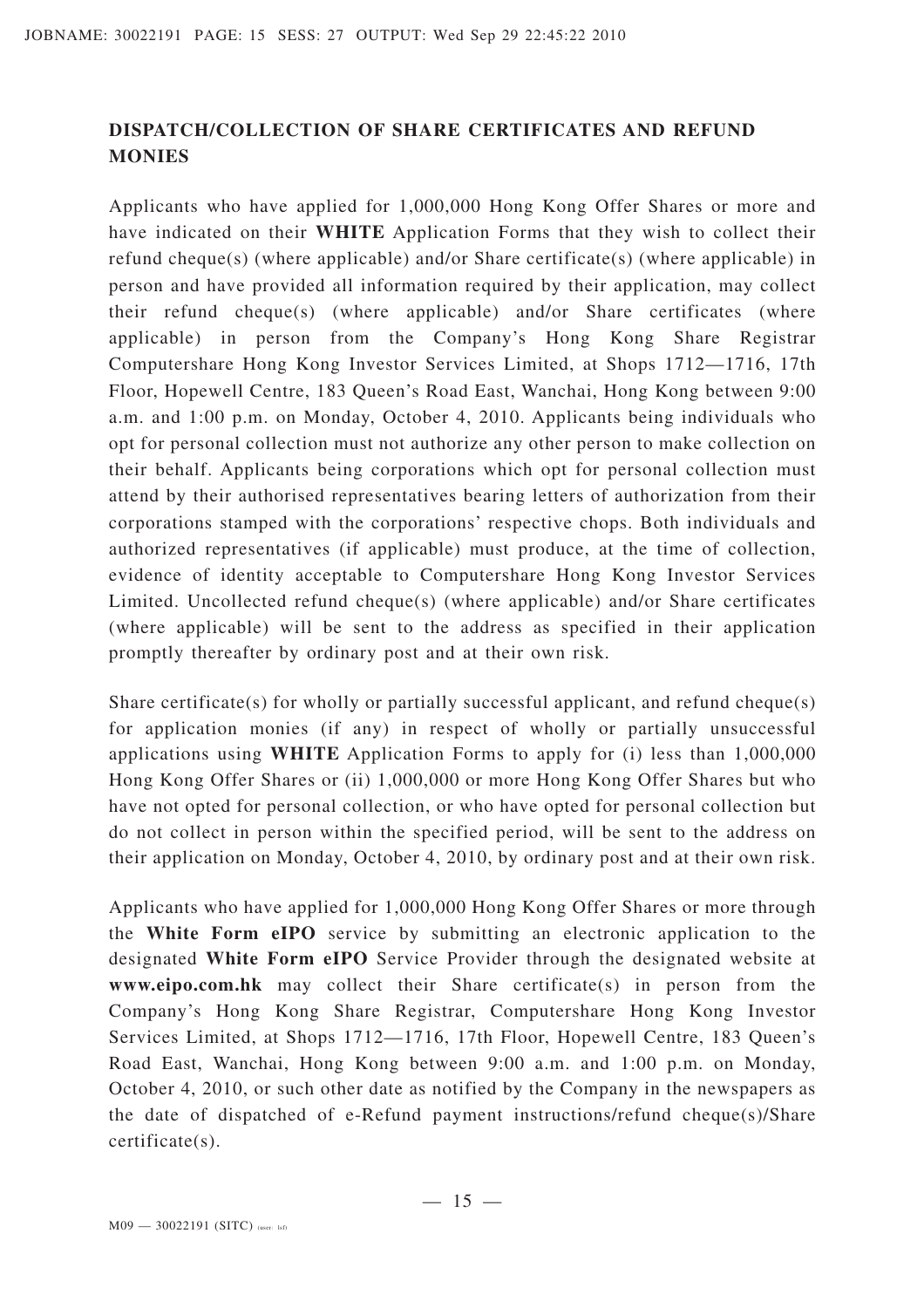## **DISPATCH/COLLECTION OF SHARE CERTIFICATES AND REFUND MONIES**

Applicants who have applied for 1,000,000 Hong Kong Offer Shares or more and have indicated on their **WHITE** Application Forms that they wish to collect their refund cheque(s) (where applicable) and/or Share certificate(s) (where applicable) in person and have provided all information required by their application, may collect their refund cheque(s) (where applicable) and/or Share certificates (where applicable) in person from the Company's Hong Kong Share Registrar Computershare Hong Kong Investor Services Limited, at Shops 1712—1716, 17th Floor, Hopewell Centre, 183 Queen's Road East, Wanchai, Hong Kong between 9:00 a.m. and 1:00 p.m. on Monday, October 4, 2010. Applicants being individuals who opt for personal collection must not authorize any other person to make collection on their behalf. Applicants being corporations which opt for personal collection must attend by their authorised representatives bearing letters of authorization from their corporations stamped with the corporations' respective chops. Both individuals and authorized representatives (if applicable) must produce, at the time of collection, evidence of identity acceptable to Computershare Hong Kong Investor Services Limited. Uncollected refund cheque(s) (where applicable) and/or Share certificates (where applicable) will be sent to the address as specified in their application promptly thereafter by ordinary post and at their own risk.

Share certificate(s) for wholly or partially successful applicant, and refund cheque(s) for application monies (if any) in respect of wholly or partially unsuccessful applications using **WHITE** Application Forms to apply for (i) less than 1,000,000 Hong Kong Offer Shares or (ii) 1,000,000 or more Hong Kong Offer Shares but who have not opted for personal collection, or who have opted for personal collection but do not collect in person within the specified period, will be sent to the address on their application on Monday, October 4, 2010, by ordinary post and at their own risk.

Applicants who have applied for 1,000,000 Hong Kong Offer Shares or more through the **White Form eIPO** service by submitting an electronic application to the designated **White Form eIPO** Service Provider through the designated website at **www.eipo.com.hk** may collect their Share certificate(s) in person from the Company's Hong Kong Share Registrar, Computershare Hong Kong Investor Services Limited, at Shops 1712—1716, 17th Floor, Hopewell Centre, 183 Queen's Road East, Wanchai, Hong Kong between 9:00 a.m. and 1:00 p.m. on Monday, October 4, 2010, or such other date as notified by the Company in the newspapers as the date of dispatched of e-Refund payment instructions/refund cheque(s)/Share certificate(s).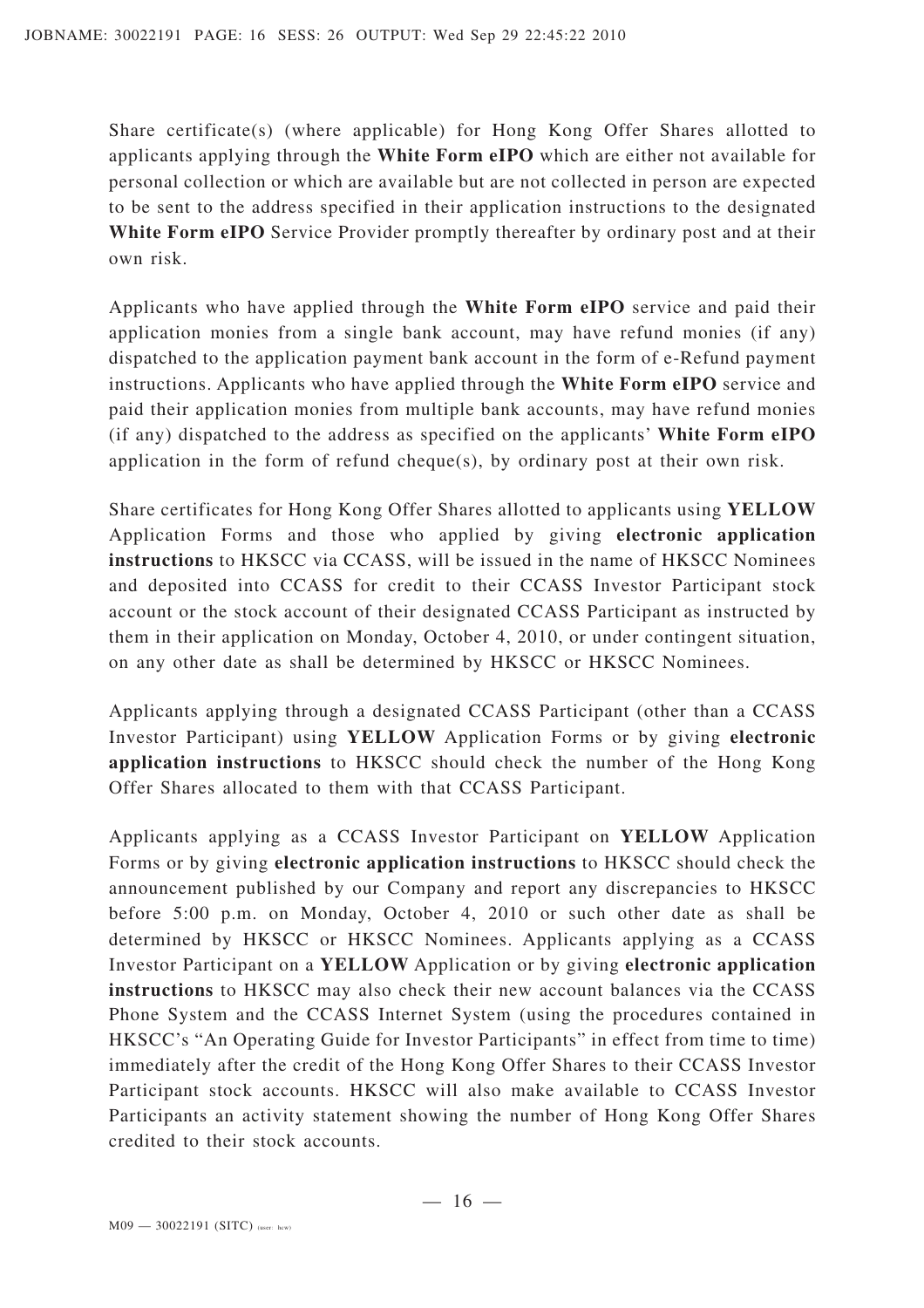Share certificate(s) (where applicable) for Hong Kong Offer Shares allotted to applicants applying through the **White Form eIPO** which are either not available for personal collection or which are available but are not collected in person are expected to be sent to the address specified in their application instructions to the designated **White Form eIPO** Service Provider promptly thereafter by ordinary post and at their own risk.

Applicants who have applied through the **White Form eIPO** service and paid their application monies from a single bank account, may have refund monies (if any) dispatched to the application payment bank account in the form of e-Refund payment instructions. Applicants who have applied through the **White Form eIPO** service and paid their application monies from multiple bank accounts, may have refund monies (if any) dispatched to the address as specified on the applicants' **White Form eIPO** application in the form of refund cheque(s), by ordinary post at their own risk.

Share certificates for Hong Kong Offer Shares allotted to applicants using **YELLOW** Application Forms and those who applied by giving **electronic application instructions** to HKSCC via CCASS, will be issued in the name of HKSCC Nominees and deposited into CCASS for credit to their CCASS Investor Participant stock account or the stock account of their designated CCASS Participant as instructed by them in their application on Monday, October 4, 2010, or under contingent situation, on any other date as shall be determined by HKSCC or HKSCC Nominees.

Applicants applying through a designated CCASS Participant (other than a CCASS Investor Participant) using **YELLOW** Application Forms or by giving **electronic application instructions** to HKSCC should check the number of the Hong Kong Offer Shares allocated to them with that CCASS Participant.

Applicants applying as a CCASS Investor Participant on **YELLOW** Application Forms or by giving **electronic application instructions** to HKSCC should check the announcement published by our Company and report any discrepancies to HKSCC before 5:00 p.m. on Monday, October 4, 2010 or such other date as shall be determined by HKSCC or HKSCC Nominees. Applicants applying as a CCASS Investor Participant on a **YELLOW** Application or by giving **electronic application instructions** to HKSCC may also check their new account balances via the CCASS Phone System and the CCASS Internet System (using the procedures contained in HKSCC's "An Operating Guide for Investor Participants" in effect from time to time) immediately after the credit of the Hong Kong Offer Shares to their CCASS Investor Participant stock accounts. HKSCC will also make available to CCASS Investor Participants an activity statement showing the number of Hong Kong Offer Shares credited to their stock accounts.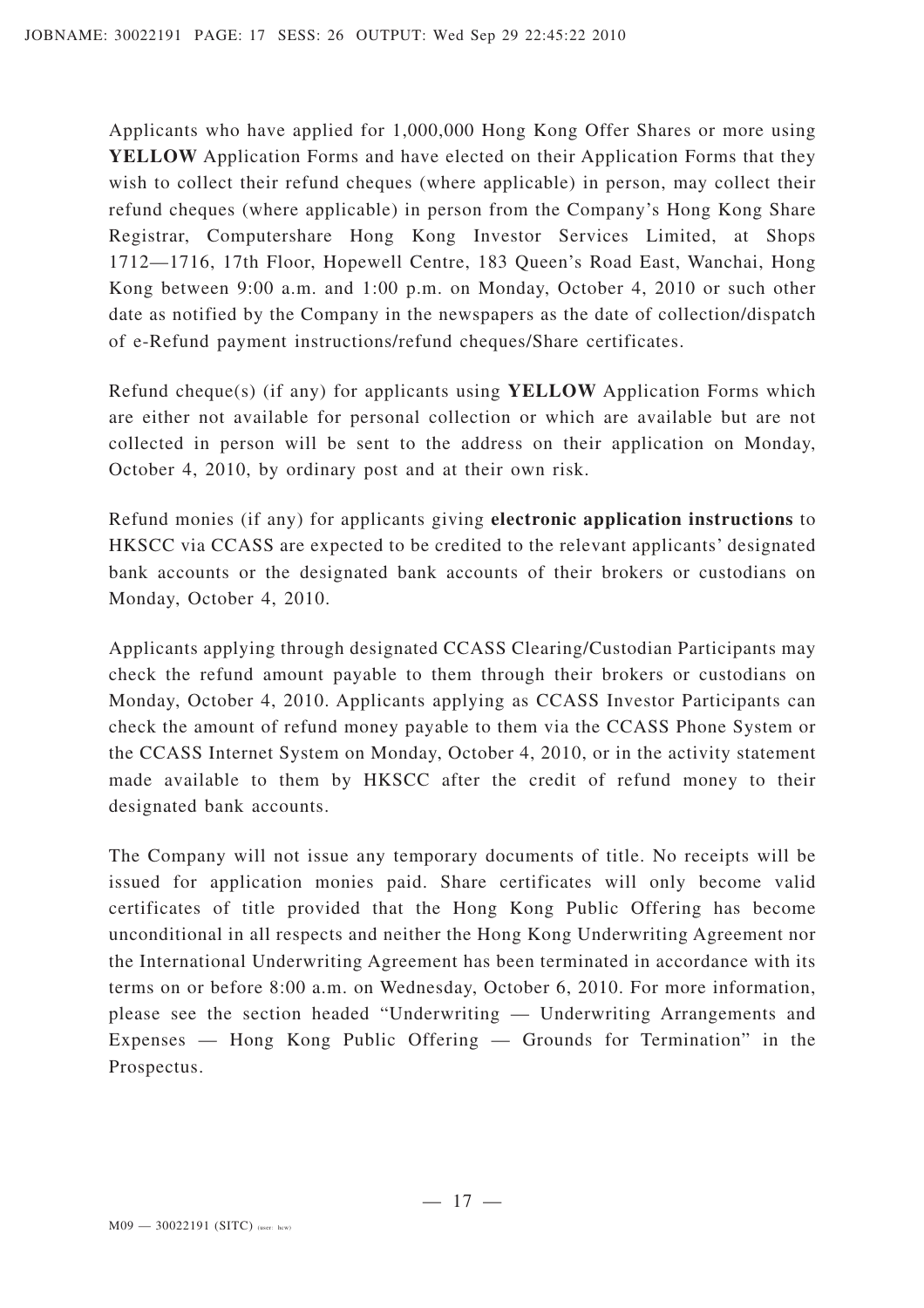Applicants who have applied for 1,000,000 Hong Kong Offer Shares or more using **YELLOW** Application Forms and have elected on their Application Forms that they wish to collect their refund cheques (where applicable) in person, may collect their refund cheques (where applicable) in person from the Company's Hong Kong Share Registrar, Computershare Hong Kong Investor Services Limited, at Shops 1712—1716, 17th Floor, Hopewell Centre, 183 Queen's Road East, Wanchai, Hong Kong between 9:00 a.m. and 1:00 p.m. on Monday, October 4, 2010 or such other date as notified by the Company in the newspapers as the date of collection/dispatch of e-Refund payment instructions/refund cheques/Share certificates.

Refund cheque(s) (if any) for applicants using **YELLOW** Application Forms which are either not available for personal collection or which are available but are not collected in person will be sent to the address on their application on Monday, October 4, 2010, by ordinary post and at their own risk.

Refund monies (if any) for applicants giving **electronic application instructions** to HKSCC via CCASS are expected to be credited to the relevant applicants' designated bank accounts or the designated bank accounts of their brokers or custodians on Monday, October 4, 2010.

Applicants applying through designated CCASS Clearing/Custodian Participants may check the refund amount payable to them through their brokers or custodians on Monday, October 4, 2010. Applicants applying as CCASS Investor Participants can check the amount of refund money payable to them via the CCASS Phone System or the CCASS Internet System on Monday, October 4, 2010, or in the activity statement made available to them by HKSCC after the credit of refund money to their designated bank accounts.

The Company will not issue any temporary documents of title. No receipts will be issued for application monies paid. Share certificates will only become valid certificates of title provided that the Hong Kong Public Offering has become unconditional in all respects and neither the Hong Kong Underwriting Agreement nor the International Underwriting Agreement has been terminated in accordance with its terms on or before 8:00 a.m. on Wednesday, October 6, 2010. For more information, please see the section headed "Underwriting — Underwriting Arrangements and Expenses — Hong Kong Public Offering — Grounds for Termination" in the Prospectus.